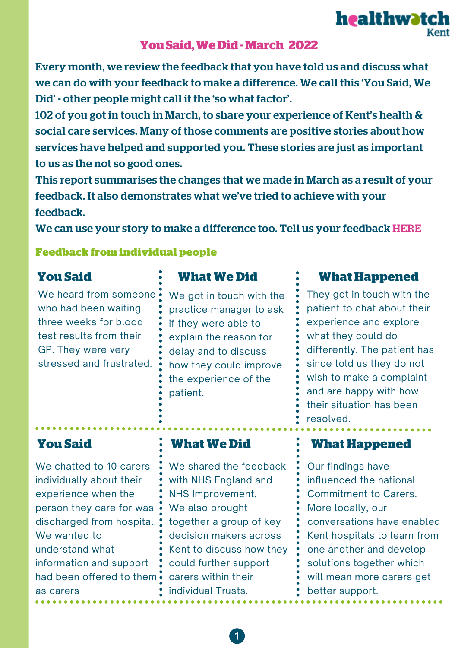# **YouSaid,WeDid-March 2022**

Every month, we review the feedback that you have told us and discuss what we can do with your feedback to make a difference. We call this 'You Said, We Did' - other people might call it the 'so what factor'.

102 of you got in touch in March, to share your experience of Kent's health & social care services. Many of those comments are positive stories about how services have helped and supported you. These stories are just as important to us as the not so good ones.

This report summarises the changes that we made in March as a result of your feedback. It also demonstrates what we've tried to achieve with your feedback.

We can use your story to make a difference too. Tell us your feedback [HERE](https://www.healthwatchkent.co.uk/have-your-say)

### **Feedback from individual people**

We heard from someone • who had been waiting three weeks for blood test results from their GP. They were very stressed and frustrated.

## **You Said What We Did**

We got in touch with the practice manager to ask if they were able to explain the reason for delay and to discuss how they could improve the experience of the patient.

We chatted to 10 carers individually about their experience when the person they care for was discharged from hospital. • We wanted to understand what information and support had been offered to them • carers within their as carers

We shared the feedback with NHS England and NHS Improvement. We also brought together a group of key decision makers across Kent to discuss how they could further support individual Trusts.

### **What Happened**

healthwatch

They got in touch with the patient to chat about their experience and explore what they could do differently. The patient has since told us they do not wish to make a complaint and are happy with how their situation has been resolved.

# **You Said What We Did What Happened**

Our findings have influenced the national Commitment to Carers. More locally, our conversations have enabled Kent hospitals to learn from one another and develop solutions together which will mean more carers get better support.

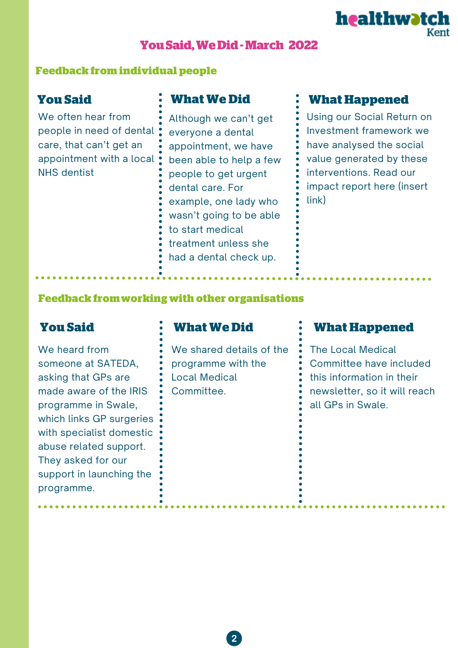

## **YouSaid,WeDid-March 2022**

## **Feedback from individual people**

We often hear from people in need of dental : care, that can't get an appointment with a local  $\bullet$ NHS dentist

# **You Said What We Did**

Although we can't get everyone a dental appointment, we have been able to help a few people to get urgent dental care. For example, one lady who wasn't going to be able to start medical treatment unless she had a dental check up.

# **What Happened**

Using our Social Return on Investment framework we have analysed the social value generated by these interventions. Read our impact report here (insert link)

### **Feedback fromworking with other organisations**

We heard from someone at SATEDA, asking that GPs are made aware of the IRIS programme in Swale, which links GP surgeries with specialist domestic abuse related support. They asked for our support in launching the programme.

We shared details of the programme with the Local Medical Committee.

# **You Said What We Did What Happened**

The Local Medical Committee have included this information in their newsletter, so it will reach all GPs in Swale.